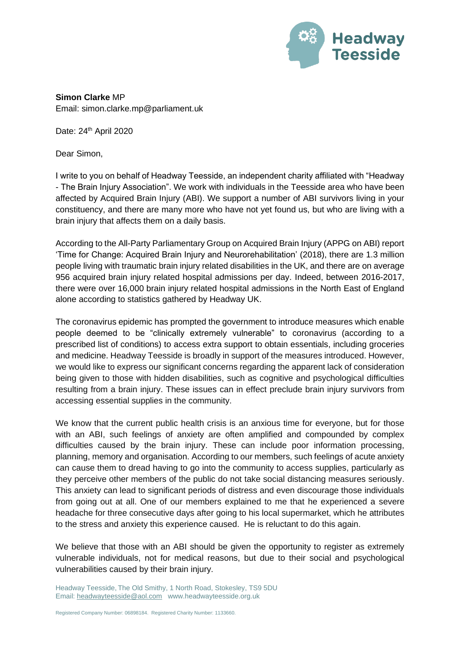

**Simon Clarke** MP Email: simon.clarke.mp@parliament.uk

Date: 24<sup>th</sup> April 2020

Dear Simon,

I write to you on behalf of Headway Teesside, an independent charity affiliated with "Headway - The Brain Injury Association". We work with individuals in the Teesside area who have been affected by Acquired Brain Injury (ABI). We support a number of ABI survivors living in your constituency, and there are many more who have not yet found us, but who are living with a brain injury that affects them on a daily basis.

According to the All-Party Parliamentary Group on Acquired Brain Injury (APPG on ABI) report 'Time for Change: Acquired Brain Injury and Neurorehabilitation' (2018), there are 1.3 million people living with traumatic brain injury related disabilities in the UK, and there are on average 956 acquired brain injury related hospital admissions per day. Indeed, between 2016-2017, there were over 16,000 brain injury related hospital admissions in the North East of England alone according to statistics gathered by Headway UK.

The coronavirus epidemic has prompted the government to introduce measures which enable people deemed to be "clinically extremely vulnerable" to coronavirus (according to a prescribed list of conditions) to access extra support to obtain essentials, including groceries and medicine. Headway Teesside is broadly in support of the measures introduced. However, we would like to express our significant concerns regarding the apparent lack of consideration being given to those with hidden disabilities, such as cognitive and psychological difficulties resulting from a brain injury. These issues can in effect preclude brain injury survivors from accessing essential supplies in the community.

We know that the current public health crisis is an anxious time for everyone, but for those with an ABI, such feelings of anxiety are often amplified and compounded by complex difficulties caused by the brain injury. These can include poor information processing, planning, memory and organisation. According to our members, such feelings of acute anxiety can cause them to dread having to go into the community to access supplies, particularly as they perceive other members of the public do not take social distancing measures seriously. This anxiety can lead to significant periods of distress and even discourage those individuals from going out at all. One of our members explained to me that he experienced a severe headache for three consecutive days after going to his local supermarket, which he attributes to the stress and anxiety this experience caused. He is reluctant to do this again.

We believe that those with an ABI should be given the opportunity to register as extremely vulnerable individuals, not for medical reasons, but due to their social and psychological vulnerabilities caused by their brain injury.

Headway Teesside, The Old Smithy, 1 North Road, Stokesley, TS9 5DU Email[: headwayteesside@aol.com](mailto:headwayteesside@aol.com) www.headwayteesside.org.uk